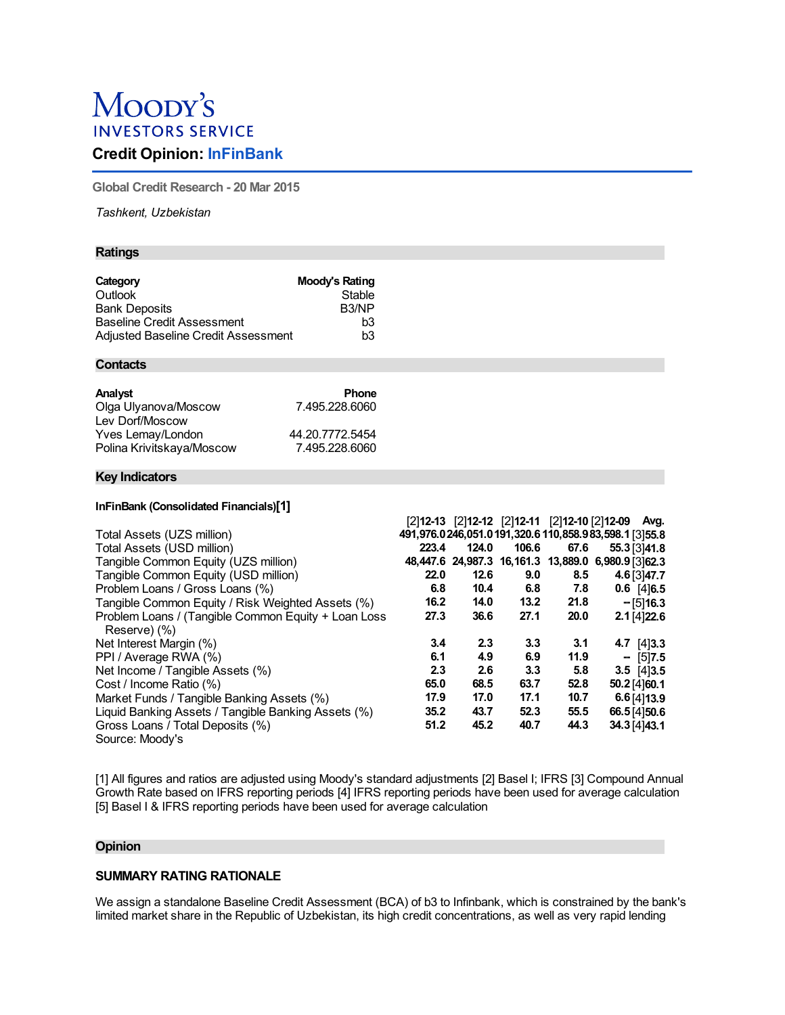# Moody's **INVESTORS SERVICE**

## **Credit Opinion: InFinBank**

**Global Credit Research - 20 Mar 2015**

*Tashkent, Uzbekistan*

## **Ratings**

| Category                            | Moody's Rating     |
|-------------------------------------|--------------------|
| Outlook                             | Stable             |
| <b>Bank Deposits</b>                | B <sub>3</sub> /NP |
| <b>Baseline Credit Assessment</b>   | b3                 |
| Adjusted Baseline Credit Assessment | b3                 |

## **Contacts**

| Analyst                                        | <b>Phone</b>                      |
|------------------------------------------------|-----------------------------------|
| Olga Ulyanova/Moscow<br>Lev Dorf/Moscow        | 7.495.228.6060                    |
| Yves Lemay/London<br>Polina Krivitskaya/Moscow | 44.20.7772.5454<br>7.495.228.6060 |

## **Key Indicators**

#### **InFinBank (Consolidated Financials)[1]**

|                                                     |       | [2] 12-13 [2] 12-12 [2] 12-11 [2] 12-10 [2] 12-09 |       |      | Avq.                                                |
|-----------------------------------------------------|-------|---------------------------------------------------|-------|------|-----------------------------------------------------|
| Total Assets (UZS million)                          |       |                                                   |       |      | 491,976.0246,051.0191,320.6110,858.983,598.1[3]55.8 |
| Total Assets (USD million)                          | 223.4 | 124.0                                             | 106.6 | 67.6 | 55.3 [3] 41.8                                       |
| Tangible Common Equity (UZS million)                |       |                                                   |       |      | 48,447.6 24,987.3 16,161.3 13,889.0 6,980.9 [3]62.3 |
| Tangible Common Equity (USD million)                | 22.0  | 12.6                                              | 9.0   | 8.5  | 4.6 [3] 47.7                                        |
| Problem Loans / Gross Loans (%)                     | 6.8   | 10.4                                              | 6.8   | 7.8  | $0.6$ [4] 6.5                                       |
| Tangible Common Equity / Risk Weighted Assets (%)   | 16.2  | 14.0                                              | 13.2  | 21.8 | $-[5]16.3$                                          |
| Problem Loans / (Tangible Common Equity + Loan Loss | 27.3  | 36.6                                              | 27.1  | 20.0 | $2.1$ [4] $22.6$                                    |
| Reserve) (%)                                        |       |                                                   |       |      |                                                     |
| Net Interest Margin (%)                             | 3.4   | 2.3                                               | 3.3   | 3.1  | 4.7 [4] 3.3                                         |
| PPI / Average RWA (%)                               | 6.1   | 4.9                                               | 6.9   | 11.9 | [5]7.5<br>-                                         |
| Net Income / Tangible Assets (%)                    | 2.3   | 2.6                                               | 3.3   | 5.8  | $3.5$ [4] $3.5$                                     |
| Cost / Income Ratio (%)                             | 65.0  | 68.5                                              | 63.7  | 52.8 | $50.2$ [4] 60.1                                     |
| Market Funds / Tangible Banking Assets (%)          | 17.9  | 17.0                                              | 17.1  | 10.7 | $6.6[4]$ 13.9                                       |
| Liquid Banking Assets / Tangible Banking Assets (%) | 35.2  | 43.7                                              | 52.3  | 55.5 | 66.5 [4] 50.6                                       |
| Gross Loans / Total Deposits (%)                    | 51.2  | 45.2                                              | 40.7  | 44.3 | 34.3[4]43.1                                         |
| Source: Moody's                                     |       |                                                   |       |      |                                                     |

[1] All figures and ratios are adjusted using Moody's standard adjustments [2] Basel I; IFRS [3] Compound Annual Growth Rate based on IFRS reporting periods [4] IFRS reporting periods have been used for average calculation [5] Basel I & IFRS reporting periods have been used for average calculation

## **Opinion**

## **SUMMARY RATING RATIONALE**

We assign a standalone Baseline Credit Assessment (BCA) of b3 to Infinbank, which is constrained by the bank's limited market share in the Republic of Uzbekistan, its high credit concentrations, as well as very rapid lending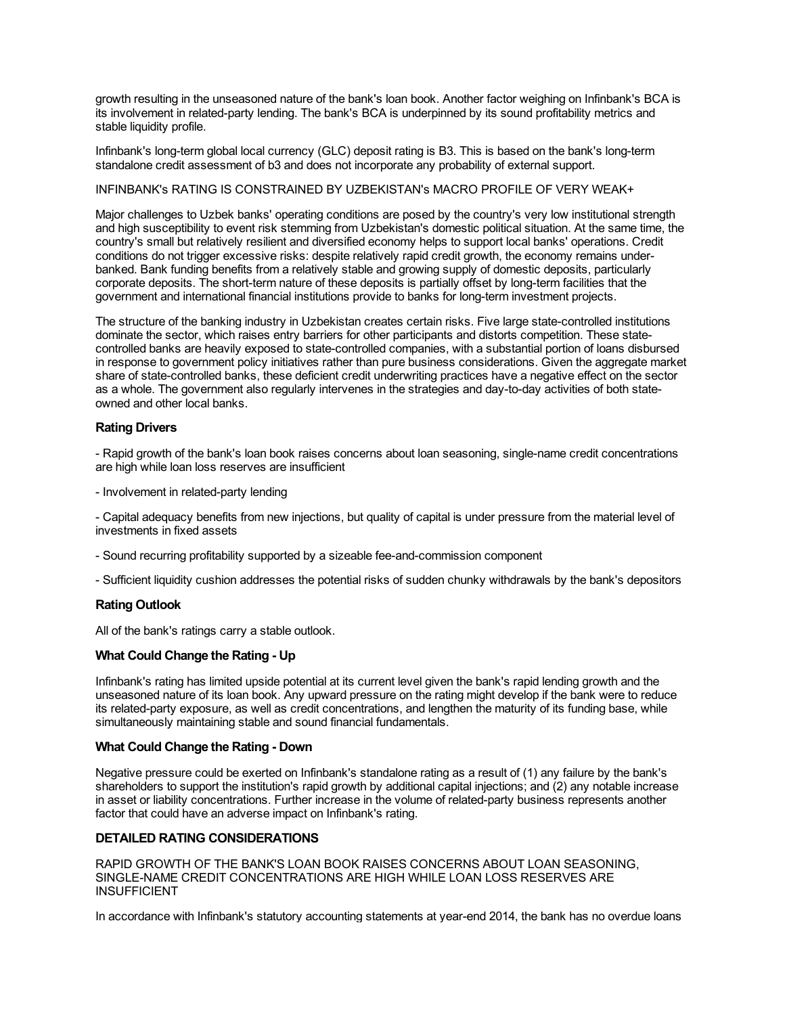growth resulting in the unseasoned nature of the bank's loan book. Another factor weighing on Infinbank's BCA is its involvement in related-party lending. The bank's BCA is underpinned by its sound profitability metrics and stable liquidity profile.

Infinbank's long-term global local currency (GLC) deposit rating is B3. This is based on the bank's long-term standalone credit assessment of b3 and does not incorporate any probability of external support.

## INFINBANK's RATING IS CONSTRAINED BY UZBEKISTAN's MACRO PROFILE OF VERY WEAK+

Major challenges to Uzbek banks' operating conditions are posed by the country's very low institutional strength and high susceptibility to event risk stemming from Uzbekistan's domestic political situation. At the same time, the country's small but relatively resilient and diversified economy helps to support local banks' operations. Credit conditions do not trigger excessive risks: despite relatively rapid credit growth, the economy remains underbanked. Bank funding benefits from a relatively stable and growing supply of domestic deposits, particularly corporate deposits. The short-term nature of these deposits is partially offset by long-term facilities that the government and international financial institutions provide to banks for long-term investment projects.

The structure of the banking industry in Uzbekistan creates certain risks. Five large state-controlled institutions dominate the sector, which raises entry barriers for other participants and distorts competition. These statecontrolled banks are heavily exposed to state-controlled companies, with a substantial portion of loans disbursed in response to government policy initiatives rather than pure business considerations. Given the aggregate market share of state-controlled banks, these deficient credit underwriting practices have a negative effect on the sector as a whole. The government also regularly intervenes in the strategies and day-to-day activities of both stateowned and other local banks.

## **Rating Drivers**

- Rapid growth of the bank's loan book raises concerns about loan seasoning, single-name credit concentrations are high while loan loss reserves are insufficient

- Involvement in related-party lending

- Capital adequacy benefits from new injections, but quality of capital is under pressure from the material level of investments in fixed assets

- Sound recurring profitability supported by a sizeable fee-and-commission component
- Sufficient liquidity cushion addresses the potential risks of sudden chunky withdrawals by the bank's depositors

## **Rating Outlook**

All of the bank's ratings carry a stable outlook.

## **What Could Change the Rating - Up**

Infinbank's rating has limited upside potential at its current level given the bank's rapid lending growth and the unseasoned nature of its loan book. Any upward pressure on the rating might develop if the bank were to reduce its related-party exposure, as well as credit concentrations, and lengthen the maturity of its funding base, while simultaneously maintaining stable and sound financial fundamentals.

## **What Could Change the Rating - Down**

Negative pressure could be exerted on Infinbank's standalone rating as a result of (1) any failure by the bank's shareholders to support the institution's rapid growth by additional capital injections; and (2) any notable increase in asset or liability concentrations. Further increase in the volume of related-party business represents another factor that could have an adverse impact on Infinbank's rating.

## **DETAILED RATING CONSIDERATIONS**

RAPID GROWTH OF THE BANK'S LOAN BOOK RAISES CONCERNS ABOUT LOAN SEASONING, SINGLE-NAME CREDIT CONCENTRATIONS ARE HIGH WHILE LOAN LOSS RESERVES ARE INSUFFICIENT

In accordance with Infinbank's statutory accounting statements at year-end 2014, the bank has no overdue loans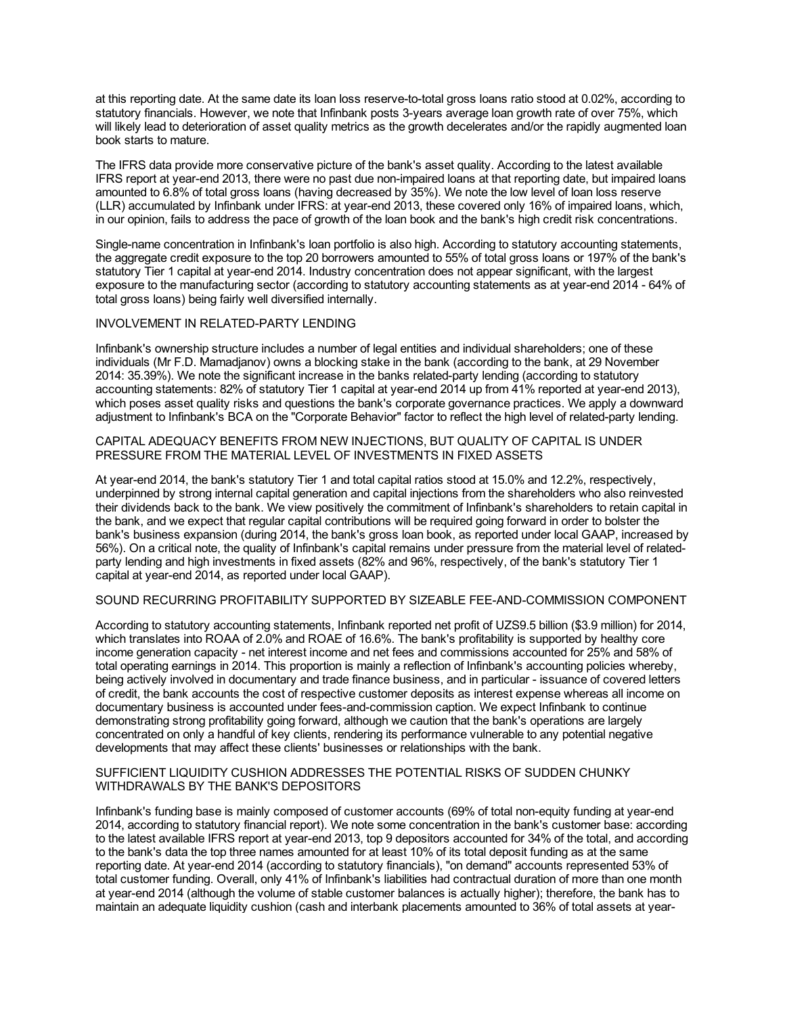at this reporting date. At the same date its loan loss reserve-to-total gross loans ratio stood at 0.02%, according to statutory financials. However, we note that Infinbank posts 3-years average loan growth rate of over 75%, which will likely lead to deterioration of asset quality metrics as the growth decelerates and/or the rapidly augmented loan book starts to mature.

The IFRS data provide more conservative picture of the bank's asset quality. According to the latest available IFRS report at year-end 2013, there were no past due non-impaired loans at that reporting date, but impaired loans amounted to 6.8% of total gross loans (having decreased by 35%). We note the low level of loan loss reserve (LLR) accumulated by Infinbank under IFRS: at year-end 2013, these covered only 16% of impaired loans, which, in our opinion, fails to address the pace of growth of the loan book and the bank's high credit risk concentrations.

Single-name concentration in Infinbank's loan portfolio is also high. According to statutory accounting statements, the aggregate credit exposure to the top 20 borrowers amounted to 55% of total gross loans or 197% of the bank's statutory Tier 1 capital at year-end 2014. Industry concentration does not appear significant, with the largest exposure to the manufacturing sector (according to statutory accounting statements as at year-end 2014 - 64% of total gross loans) being fairly well diversified internally.

## INVOLVEMENT IN RELATED-PARTY LENDING

Infinbank's ownership structure includes a number of legal entities and individual shareholders; one of these individuals (Mr F.D. Mamadjanov) owns a blocking stake in the bank (according to the bank, at 29 November 2014: 35.39%). We note the significant increase in the banks related-party lending (according to statutory accounting statements: 82% of statutory Tier 1 capital at year-end 2014 up from 41% reported at year-end 2013), which poses asset quality risks and questions the bank's corporate governance practices. We apply a downward adjustment to Infinbank's BCA on the "Corporate Behavior" factor to reflect the high level of related-party lending.

#### CAPITAL ADEQUACY BENEFITS FROM NEW INJECTIONS, BUT QUALITY OF CAPITAL IS UNDER PRESSURE FROM THE MATERIAL LEVEL OF INVESTMENTS IN FIXED ASSETS

At year-end 2014, the bank's statutory Tier 1 and total capital ratios stood at 15.0% and 12.2%, respectively, underpinned by strong internal capital generation and capital injections from the shareholders who also reinvested their dividends back to the bank. We view positively the commitment of Infinbank's shareholders to retain capital in the bank, and we expect that regular capital contributions will be required going forward in order to bolster the bank's business expansion (during 2014, the bank's gross loan book, as reported under local GAAP, increased by 56%). On a critical note, the quality of Infinbank's capital remains under pressure from the material level of relatedparty lending and high investments in fixed assets (82% and 96%, respectively, of the bank's statutory Tier 1 capital at year-end 2014, as reported under local GAAP).

#### SOUND RECURRING PROFITABILITY SUPPORTED BY SIZEABLE FEE-AND-COMMISSION COMPONENT

According to statutory accounting statements, Infinbank reported net profit of UZS9.5 billion (\$3.9 million) for 2014, which translates into ROAA of 2.0% and ROAE of 16.6%. The bank's profitability is supported by healthy core income generation capacity - net interest income and net fees and commissions accounted for 25% and 58% of total operating earnings in 2014. This proportion is mainly a reflection of Infinbank's accounting policies whereby, being actively involved in documentary and trade finance business, and in particular - issuance of covered letters of credit, the bank accounts the cost of respective customer deposits as interest expense whereas all income on documentary business is accounted under fees-and-commission caption. We expect Infinbank to continue demonstrating strong profitability going forward, although we caution that the bank's operations are largely concentrated on only a handful of key clients, rendering its performance vulnerable to any potential negative developments that may affect these clients' businesses or relationships with the bank.

## SUFFICIENT LIQUIDITY CUSHION ADDRESSES THE POTENTIAL RISKS OF SUDDEN CHUNKY WITHDRAWALS BY THE BANK'S DEPOSITORS

Infinbank's funding base is mainly composed of customer accounts (69% of total non-equity funding at year-end 2014, according to statutory financial report). We note some concentration in the bank's customer base: according to the latest available IFRS report at year-end 2013, top 9 depositors accounted for 34% of the total, and according to the bank's data the top three names amounted for at least 10% of its total deposit funding as at the same reporting date. At year-end 2014 (according to statutory financials), "on demand" accounts represented 53% of total customer funding. Overall, only 41% of Infinbank's liabilities had contractual duration of more than one month at year-end 2014 (although the volume of stable customer balances is actually higher); therefore, the bank has to maintain an adequate liquidity cushion (cash and interbank placements amounted to 36% of total assets at year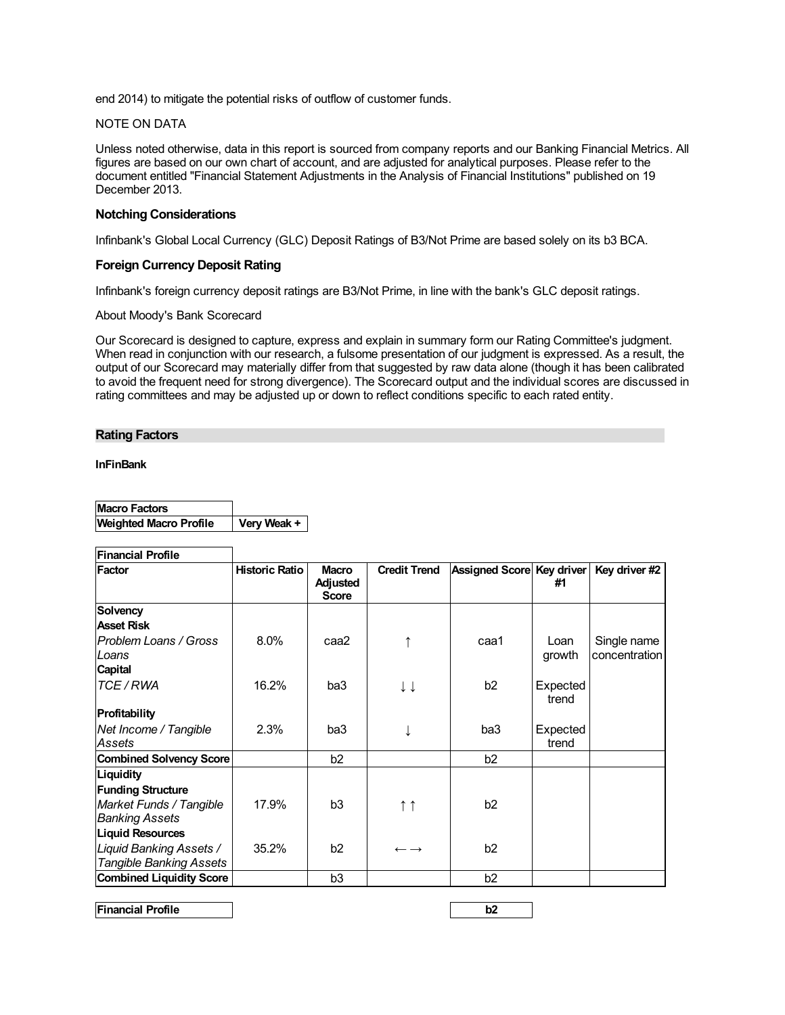end 2014) to mitigate the potential risks of outflow of customer funds.

## NOTE ON DATA

Unless noted otherwise, data in this report is sourced from company reports and our Banking Financial Metrics. All figures are based on our own chart of account, and are adjusted for analytical purposes. Please refer to the document entitled "Financial Statement Adjustments in the Analysis of Financial Institutions" published on 19 December 2013.

## **Notching Considerations**

Infinbank's Global Local Currency (GLC) Deposit Ratings of B3/Not Prime are based solely on its b3 BCA.

## **Foreign Currency Deposit Rating**

Infinbank's foreign currency deposit ratings are B3/Not Prime, in line with the bank's GLC deposit ratings.

## About Moody's Bank Scorecard

Our Scorecard is designed to capture, express and explain in summary form our Rating Committee's judgment. When read in conjunction with our research, <sup>a</sup> fulsome presentation of our judgment is expressed. As <sup>a</sup> result, the output of our Scorecard may materially differ from that suggested by raw data alone (though it has been calibrated to avoid the frequent need for strong divergence). The Scorecard output and the individual scores are discussed in rating committees and may be adjusted up or down to reflect conditions specific to each rated entity.

#### **Rating Factors**

**InFinBank**

| <b>Macro Factors</b>          |             |
|-------------------------------|-------------|
| <b>Weighted Macro Profile</b> | Very Weak + |

| <b>Financial Profile</b>                                  |                       |                                          |                            |                           |                   |                              |
|-----------------------------------------------------------|-----------------------|------------------------------------------|----------------------------|---------------------------|-------------------|------------------------------|
| <b>Factor</b>                                             | <b>Historic Ratio</b> | <b>Macro</b><br>Adjusted<br><b>Score</b> | <b>Credit Trend</b>        | Assigned Score Key driver | #1                | Key driver #2                |
| <b>Solvency</b>                                           |                       |                                          |                            |                           |                   |                              |
| <b>Asset Risk</b>                                         |                       |                                          |                            |                           |                   |                              |
| Problem Loans / Gross<br>Loans                            | 8.0%                  | caa2                                     |                            | caa1                      | Loan<br>growth    | Single name<br>concentration |
| <b>Capital</b>                                            |                       |                                          |                            |                           |                   |                              |
| TCE / RWA                                                 | 16.2%                 | ba3                                      | ↓↓                         | b2                        | Expected<br>trend |                              |
| Profitability                                             |                       |                                          |                            |                           |                   |                              |
| Net Income / Tangible<br>Assets                           | 2.3%                  | ba3                                      |                            | ba3                       | Expected<br>trend |                              |
| <b>Combined Solvency Score</b>                            |                       | b2                                       |                            | b2                        |                   |                              |
| Liquidity                                                 |                       |                                          |                            |                           |                   |                              |
| <b>Funding Structure</b>                                  |                       |                                          |                            |                           |                   |                              |
| Market Funds / Tangible<br><b>Banking Assets</b>          | 17.9%                 | b <sub>3</sub>                           | $\uparrow \uparrow$        | b2                        |                   |                              |
| <b>Liquid Resources</b>                                   |                       |                                          |                            |                           |                   |                              |
| Liquid Banking Assets /<br><b>Tangible Banking Assets</b> | 35.2%                 | b2                                       | $\leftarrow$ $\rightarrow$ | b2                        |                   |                              |
| <b>Combined Liquidity Score</b>                           |                       | b <sub>3</sub>                           |                            | b2                        |                   |                              |

**Financial Profile b2**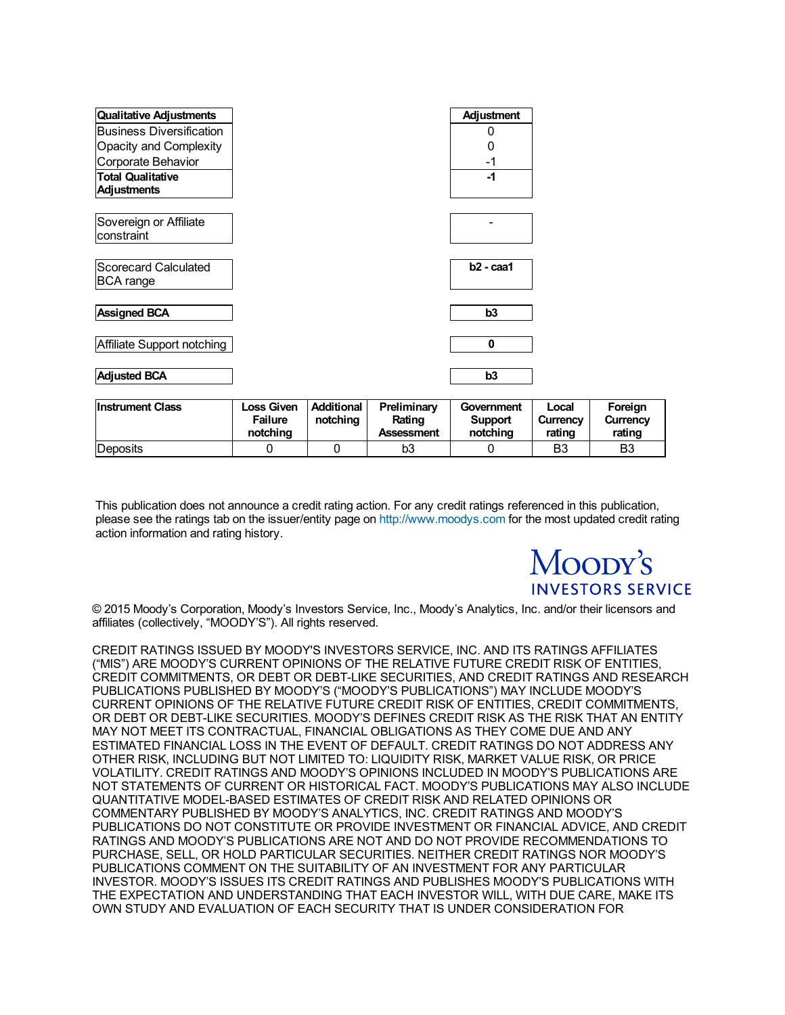| <b>Qualitative Adjustments</b>           | Adjustment  |
|------------------------------------------|-------------|
| <b>Business Diversification</b>          |             |
| Opacity and Complexity                   | 0           |
| Corporate Behavior                       | -1          |
| Total Qualitative<br><b>Adjustments</b>  | $\cdot$ 1   |
| Sovereign or Affiliate<br>constraint     |             |
| Scorecard Calculated<br><b>BCA</b> range | $b2 - caa1$ |
| <b>Assigned BCA</b>                      | b3          |
| Affiliate Support notching               | 0           |
| <b>Adjusted BCA</b>                      | b3          |

| <b>Instrument Class</b> | <b>Loss Given</b><br><b>Failure</b><br>notchina | Additional<br>notching | Preliminary<br>Rating<br>Assessment | Government<br>Support<br>notching | Local<br>Currency<br>rating | <b>Foreign</b><br>Currency<br>rating |
|-------------------------|-------------------------------------------------|------------------------|-------------------------------------|-----------------------------------|-----------------------------|--------------------------------------|
| Deposits                |                                                 |                        | b3                                  |                                   | B3                          | B3                                   |

This publication does not announce a credit rating action. For any credit ratings referenced in this publication, please see the ratings tab on the issuer/entity page on [http://www.moodys.com](http://www.moodys.com/) for the most updated credit rating action information and rating history.

> Moody's **INVESTORS SERVICE**

© 2015 Moody's Corporation, Moody's Investors Service, Inc., Moody's Analytics, Inc. and/or their licensors and affiliates (collectively, "MOODY'S"). All rights reserved.

CREDIT RATINGS ISSUED BY MOODY'S INVESTORS SERVICE, INC. AND ITS RATINGS AFFILIATES ("MIS") ARE MOODY'S CURRENT OPINIONS OF THE RELATIVE FUTURE CREDIT RISK OF ENTITIES, CREDIT COMMITMENTS, OR DEBT OR DEBT-LIKE SECURITIES, AND CREDIT RATINGS AND RESEARCH PUBLICATIONS PUBLISHED BY MOODY'S ("MOODY'S PUBLICATIONS") MAY INCLUDE MOODY'S CURRENT OPINIONS OF THE RELATIVE FUTURE CREDIT RISK OF ENTITIES, CREDIT COMMITMENTS, OR DEBT OR DEBT-LIKE SECURITIES. MOODY'S DEFINES CREDIT RISK AS THE RISK THAT AN ENTITY MAY NOT MEET ITS CONTRACTUAL, FINANCIAL OBLIGATIONS AS THEY COME DUE AND ANY ESTIMATED FINANCIAL LOSS IN THE EVENT OF DEFAULT. CREDIT RATINGS DO NOT ADDRESS ANY OTHER RISK, INCLUDING BUT NOT LIMITED TO: LIQUIDITY RISK, MARKET VALUE RISK, OR PRICE VOLATILITY. CREDIT RATINGS AND MOODY'S OPINIONS INCLUDED IN MOODY'S PUBLICATIONS ARE NOT STATEMENTS OF CURRENT OR HISTORICAL FACT. MOODY'S PUBLICATIONS MAY ALSO INCLUDE QUANTITATIVE MODEL-BASED ESTIMATES OF CREDIT RISK AND RELATED OPINIONS OR COMMENTARY PUBLISHED BY MOODY'S ANALYTICS, INC. CREDIT RATINGS AND MOODY'S PUBLICATIONS DO NOT CONSTITUTE OR PROVIDE INVESTMENT OR FINANCIAL ADVICE, AND CREDIT RATINGS AND MOODY'S PUBLICATIONS ARE NOT AND DO NOT PROVIDE RECOMMENDATIONS TO PURCHASE, SELL, OR HOLD PARTICULAR SECURITIES. NEITHER CREDIT RATINGS NOR MOODY'S PUBLICATIONS COMMENT ON THE SUITABILITY OF AN INVESTMENT FOR ANY PARTICULAR INVESTOR. MOODY'S ISSUES ITS CREDIT RATINGS AND PUBLISHES MOODY'S PUBLICATIONS WITH THE EXPECTATION AND UNDERSTANDING THAT EACH INVESTOR WILL, WITH DUE CARE, MAKE ITS OWN STUDY AND EVALUATION OF EACH SECURITY THAT IS UNDER CONSIDERATION FOR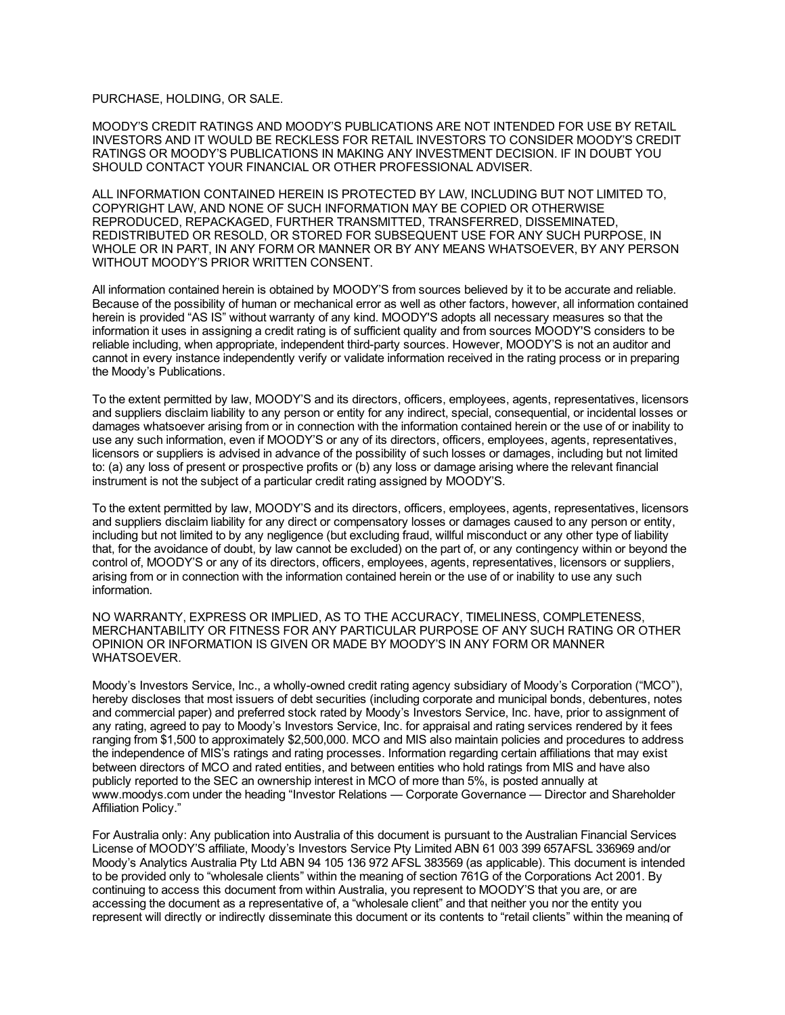## PURCHASE, HOLDING, OR SALE.

MOODY'S CREDIT RATINGS AND MOODY'S PUBLICATIONS ARE NOT INTENDED FOR USE BY RETAIL INVESTORS AND IT WOULD BE RECKLESS FOR RETAIL INVESTORS TO CONSIDER MOODY'S CREDIT RATINGS OR MOODY'S PUBLICATIONS IN MAKING ANY INVESTMENT DECISION. IF IN DOUBT YOU SHOULD CONTACT YOUR FINANCIAL OR OTHER PROFESSIONAL ADVISER.

ALL INFORMATION CONTAINED HEREIN IS PROTECTED BY LAW, INCLUDING BUT NOT LIMITED TO, COPYRIGHT LAW, AND NONE OF SUCH INFORMATION MAY BE COPIED OR OTHERWISE REPRODUCED, REPACKAGED, FURTHER TRANSMITTED, TRANSFERRED, DISSEMINATED, REDISTRIBUTED OR RESOLD, OR STORED FOR SUBSEQUENT USE FOR ANY SUCH PURPOSE, IN WHOLE OR IN PART, IN ANY FORM OR MANNER OR BY ANY MEANS WHATSOEVER, BY ANY PERSON WITHOUT MOODY'S PRIOR WRITTEN CONSENT.

All information contained herein is obtained by MOODY'S from sources believed by it to be accurate and reliable. Because of the possibility of human or mechanical error as well as other factors, however, all information contained herein is provided "AS IS" without warranty of any kind. MOODY'S adopts all necessary measures so that the information it uses in assigning a credit rating is of sufficient quality and from sources MOODY'S considers to be reliable including, when appropriate, independent third-party sources. However, MOODY'S is not an auditor and cannot in every instance independently verify or validate information received in the rating process or in preparing the Moody's Publications.

To the extent permitted by law, MOODY'S and its directors, officers, employees, agents, representatives, licensors and suppliers disclaim liability to any person or entity for any indirect, special, consequential, or incidental losses or damages whatsoever arising from or in connection with the information contained herein or the use of or inability to use any such information, even if MOODY'S or any of its directors, officers, employees, agents, representatives, licensors or suppliers is advised in advance of the possibility of such losses or damages, including but not limited to: (a) any loss of present or prospective profits or (b) any loss or damage arising where the relevant financial instrument is not the subject of a particular credit rating assigned by MOODY'S.

To the extent permitted by law, MOODY'S and its directors, officers, employees, agents, representatives, licensors and suppliers disclaim liability for any direct or compensatory losses or damages caused to any person or entity, including but not limited to by any negligence (but excluding fraud, willful misconduct or any other type of liability that, for the avoidance of doubt, by law cannot be excluded) on the part of, or any contingency within or beyond the control of, MOODY'S or any of its directors, officers, employees, agents, representatives, licensors or suppliers, arising from or in connection with the information contained herein or the use of or inability to use any such information.

NO WARRANTY, EXPRESS OR IMPLIED, AS TO THE ACCURACY, TIMELINESS, COMPLETENESS, MERCHANTABILITY OR FITNESS FOR ANY PARTICULAR PURPOSE OF ANY SUCH RATING OR OTHER OPINION OR INFORMATION IS GIVEN OR MADE BY MOODY'S IN ANY FORM OR MANNER WHATSOEVER.

Moody's Investors Service, Inc., a wholly-owned credit rating agency subsidiary of Moody's Corporation ("MCO"), hereby discloses that most issuers of debt securities (including corporate and municipal bonds, debentures, notes and commercial paper) and preferred stock rated by Moody's Investors Service, Inc. have, prior to assignment of any rating, agreed to pay to Moody's Investors Service, Inc. for appraisal and rating services rendered by it fees ranging from \$1,500 to approximately \$2,500,000. MCO and MIS also maintain policies and procedures to address the independence of MIS's ratings and rating processes. Information regarding certain affiliations that may exist between directors of MCO and rated entities, and between entities who hold ratings from MIS and have also publicly reported to the SEC an ownership interest in MCO of more than 5%, is posted annually at www.moodys.com under the heading "Investor Relations — Corporate Governance — Director and Shareholder Affiliation Policy."

For Australia only: Any publication into Australia of this document is pursuant to the Australian Financial Services License of MOODY'S affiliate, Moody's Investors Service Pty Limited ABN 61 003 399 657AFSL 336969 and/or Moody's Analytics Australia Pty Ltd ABN 94 105 136 972 AFSL 383569 (as applicable). This document is intended to be provided only to "wholesale clients" within the meaning of section 761G of the Corporations Act 2001. By continuing to access this document from within Australia, you represent to MOODY'S that you are, or are accessing the document as a representative of, a "wholesale client" and that neither you nor the entity you represent will directly or indirectly disseminate this document or its contents to "retail clients" within the meaning of